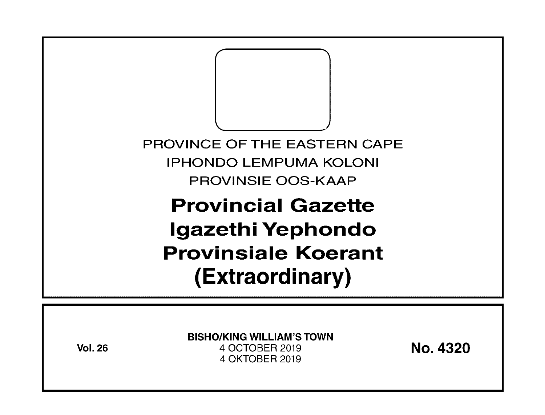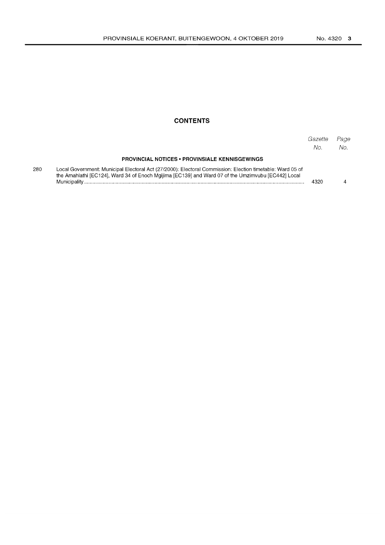## **CONTENTS**

|     |                                                                                                                                                                                                                                  | Gazette<br>No | Page<br>No. |
|-----|----------------------------------------------------------------------------------------------------------------------------------------------------------------------------------------------------------------------------------|---------------|-------------|
|     | <b>PROVINCIAL NOTICES • PROVINSIALE KENNISGEWINGS</b>                                                                                                                                                                            |               |             |
| 280 | Local Government: Municipal Electoral Act (27/2000): Electoral Commission: Election timetable: Ward 05 of<br>the Amahlathi [EC124], Ward 34 of Enoch Mgijima [EC139] and Ward 07 of the Umzimvubu [EC442] Local<br>Municipality. | 4320          |             |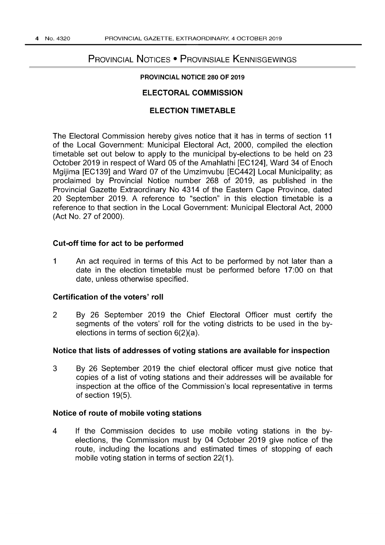# PROVINCIAL NOTICES • PROVINSIALE KENNISGEWINGS

## PROVINCIAL NOTICE 280 OF 2019

## ELECTORAL COMMISSION

## ELECTION TIMETABLE

The Electoral Commission hereby gives notice that it has in terms of section 11 of the Local Government: Municipal Electoral Act, 2000, compiled the election timetable set out below to apply to the municipal by-elections to be held on 23 October 2019 in respect of Ward 05 of the Amahlathi [EC124], Ward 34 of Enoch Mgijima [EC139] and Ward 07 of the Umzimvubu [EC442] Local Municipality; as proclaimed by Provincial Notice number 268 of 2019, as published in the Provincial Gazette Extraordinary No 4314 of the Eastern Cape Province, dated 20 September 2019. A reference to "section" in this election timetable is a reference to that section in the Local Government: Municipal Electoral Act, 2000 (Act No. 27 of 2000).

#### Cut-off time for act to be performed

1 An act required in terms of this Act to be performed by not later than a date in the election timetable must be performed before 17:00 on that date, unless otherwise specified.

#### Certification of the voters' roll

2 By 26 September 2019 the Chief Electoral Officer must certify the segments of the voters' roll for the voting districts to be used in the byelections in terms of section 6(2)(a).

## Notice that lists of addresses of voting stations are available for inspection

3 By 26 September 2019 the chief electoral officer must give notice that copies of a list of voting stations and their addresses will be available for inspection at the office of the Commission's local representative in terms of section 19(5).

#### Notice of route of mobile voting stations

4 If the Commission decides to use mobile voting stations in the byelections, the Commission must by 04 October 2019 give notice of the route, including the locations and estimated times of stopping of each mobile voting station in terms of section 22(1).